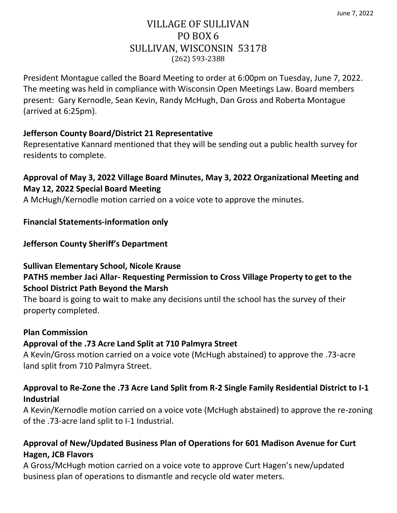# VILLAGE OF SULLIVAN PO BOX 6 SULLIVAN, WISCONSIN 53178 (262) 593-2388

President Montague called the Board Meeting to order at 6:00pm on Tuesday, June 7, 2022. The meeting was held in compliance with Wisconsin Open Meetings Law. Board members present: Gary Kernodle, Sean Kevin, Randy McHugh, Dan Gross and Roberta Montague (arrived at 6:25pm).

# **Jefferson County Board/District 21 Representative**

Representative Kannard mentioned that they will be sending out a public health survey for residents to complete.

# **Approval of May 3, 2022 Village Board Minutes, May 3, 2022 Organizational Meeting and May 12, 2022 Special Board Meeting**

A McHugh/Kernodle motion carried on a voice vote to approve the minutes.

## **Financial Statements-information only**

## **Jefferson County Sheriff's Department**

#### **Sullivan Elementary School, Nicole Krause**

# **PATHS member Jaci Allar- Requesting Permission to Cross Village Property to get to the School District Path Beyond the Marsh**

The board is going to wait to make any decisions until the school has the survey of their property completed.

#### **Plan Commission**

# **Approval of the .73 Acre Land Split at 710 Palmyra Street**

A Kevin/Gross motion carried on a voice vote (McHugh abstained) to approve the .73-acre land split from 710 Palmyra Street.

# **Approval to Re-Zone the .73 Acre Land Split from R-2 Single Family Residential District to I-1 Industrial**

A Kevin/Kernodle motion carried on a voice vote (McHugh abstained) to approve the re-zoning of the .73-acre land split to I-1 Industrial.

# **Approval of New/Updated Business Plan of Operations for 601 Madison Avenue for Curt Hagen, JCB Flavors**

A Gross/McHugh motion carried on a voice vote to approve Curt Hagen's new/updated business plan of operations to dismantle and recycle old water meters.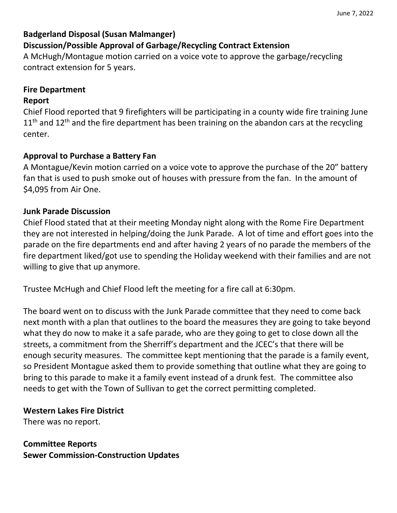### **Badgerland Disposal (Susan Malmanger) Discussion/Possible Approval of Garbage/Recycling Contract Extension**

A McHugh/Montague motion carried on a voice vote to approve the garbage/recycling contract extension for 5 years.

## **Fire Department**

#### **Report**

Chief Flood reported that 9 firefighters will be participating in a county wide fire training June  $11<sup>th</sup>$  and  $12<sup>th</sup>$  and the fire department has been training on the abandon cars at the recycling center.

#### **Approval to Purchase a Battery Fan**

A Montague/Kevin motion carried on a voice vote to approve the purchase of the 20" battery fan that is used to push smoke out of houses with pressure from the fan. In the amount of \$4,095 from Air One.

#### **Junk Parade Discussion**

Chief Flood stated that at their meeting Monday night along with the Rome Fire Department they are not interested in helping/doing the Junk Parade. A lot of time and effort goes into the parade on the fire departments end and after having 2 years of no parade the members of the fire department liked/got use to spending the Holiday weekend with their families and are not willing to give that up anymore.

Trustee McHugh and Chief Flood left the meeting for a fire call at 6:30pm.

The board went on to discuss with the Junk Parade committee that they need to come back next month with a plan that outlines to the board the measures they are going to take beyond what they do now to make it a safe parade, who are they going to get to close down all the streets, a commitment from the Sherriff's department and the JCEC's that there will be enough security measures. The committee kept mentioning that the parade is a family event, so President Montague asked them to provide something that outline what they are going to bring to this parade to make it a family event instead of a drunk fest. The committee also needs to get with the Town of Sullivan to get the correct permitting completed.

#### **Western Lakes Fire District**

There was no report.

**Committee Reports Sewer Commission-Construction Updates**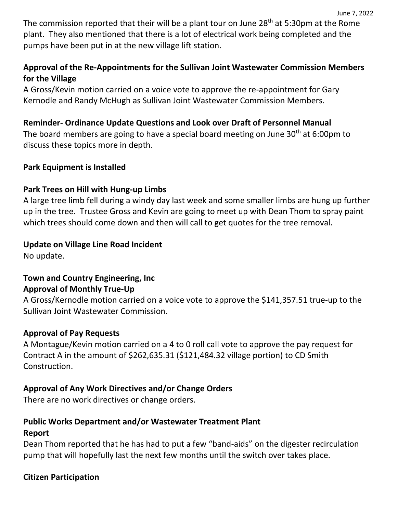The commission reported that their will be a plant tour on June  $28<sup>th</sup>$  at 5:30pm at the Rome plant. They also mentioned that there is a lot of electrical work being completed and the pumps have been put in at the new village lift station.

# **Approval of the Re-Appointments for the Sullivan Joint Wastewater Commission Members for the Village**

A Gross/Kevin motion carried on a voice vote to approve the re-appointment for Gary Kernodle and Randy McHugh as Sullivan Joint Wastewater Commission Members.

# **Reminder- Ordinance Update Questions and Look over Draft of Personnel Manual**

The board members are going to have a special board meeting on June  $30<sup>th</sup>$  at 6:00pm to discuss these topics more in depth.

## **Park Equipment is Installed**

## **Park Trees on Hill with Hung-up Limbs**

A large tree limb fell during a windy day last week and some smaller limbs are hung up further up in the tree. Trustee Gross and Kevin are going to meet up with Dean Thom to spray paint which trees should come down and then will call to get quotes for the tree removal.

# **Update on Village Line Road Incident**

No update.

# **Town and Country Engineering, Inc Approval of Monthly True-Up**

A Gross/Kernodle motion carried on a voice vote to approve the \$141,357.51 true-up to the Sullivan Joint Wastewater Commission.

#### **Approval of Pay Requests**

A Montague/Kevin motion carried on a 4 to 0 roll call vote to approve the pay request for Contract A in the amount of \$262,635.31 (\$121,484.32 village portion) to CD Smith Construction.

# **Approval of Any Work Directives and/or Change Orders**

There are no work directives or change orders.

# **Public Works Department and/or Wastewater Treatment Plant**

#### **Report**

Dean Thom reported that he has had to put a few "band-aids" on the digester recirculation pump that will hopefully last the next few months until the switch over takes place.

# **Citizen Participation**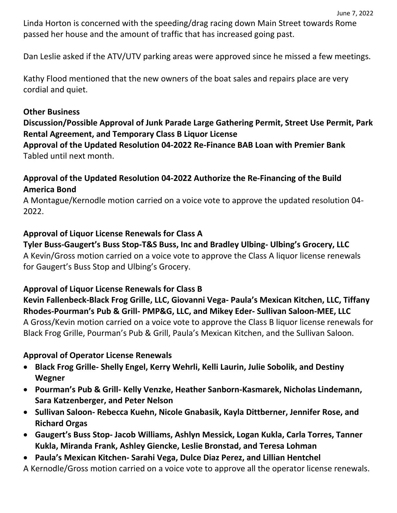Linda Horton is concerned with the speeding/drag racing down Main Street towards Rome passed her house and the amount of traffic that has increased going past.

Dan Leslie asked if the ATV/UTV parking areas were approved since he missed a few meetings.

Kathy Flood mentioned that the new owners of the boat sales and repairs place are very cordial and quiet.

#### **Other Business**

## **Discussion/Possible Approval of Junk Parade Large Gathering Permit, Street Use Permit, Park Rental Agreement, and Temporary Class B Liquor License**

**Approval of the Updated Resolution 04-2022 Re-Finance BAB Loan with Premier Bank** Tabled until next month.

# **Approval of the Updated Resolution 04-2022 Authorize the Re-Financing of the Build America Bond**

A Montague/Kernodle motion carried on a voice vote to approve the updated resolution 04- 2022.

#### **Approval of Liquor License Renewals for Class A**

**Tyler Buss-Gaugert's Buss Stop-T&S Buss, Inc and Bradley Ulbing- Ulbing's Grocery, LLC** A Kevin/Gross motion carried on a voice vote to approve the Class A liquor license renewals for Gaugert's Buss Stop and Ulbing's Grocery.

#### **Approval of Liquor License Renewals for Class B**

# **Kevin Fallenbeck-Black Frog Grille, LLC, Giovanni Vega- Paula's Mexican Kitchen, LLC, Tiffany Rhodes-Pourman's Pub & Grill- PMP&G, LLC, and Mikey Eder- Sullivan Saloon-MEE, LLC**

A Gross/Kevin motion carried on a voice vote to approve the Class B liquor license renewals for Black Frog Grille, Pourman's Pub & Grill, Paula's Mexican Kitchen, and the Sullivan Saloon.

#### **Approval of Operator License Renewals**

- **Black Frog Grille- Shelly Engel, Kerry Wehrli, Kelli Laurin, Julie Sobolik, and Destiny Wegner**
- **Pourman's Pub & Grill- Kelly Venzke, Heather Sanborn-Kasmarek, Nicholas Lindemann, Sara Katzenberger, and Peter Nelson**
- **Sullivan Saloon- Rebecca Kuehn, Nicole Gnabasik, Kayla Dittberner, Jennifer Rose, and Richard Orgas**
- **Gaugert's Buss Stop- Jacob Williams, Ashlyn Messick, Logan Kukla, Carla Torres, Tanner Kukla, Miranda Frank, Ashley Giencke, Leslie Bronstad, and Teresa Lohman**
- **Paula's Mexican Kitchen- Sarahi Vega, Dulce Diaz Perez, and Lillian Hentchel**

A Kernodle/Gross motion carried on a voice vote to approve all the operator license renewals.